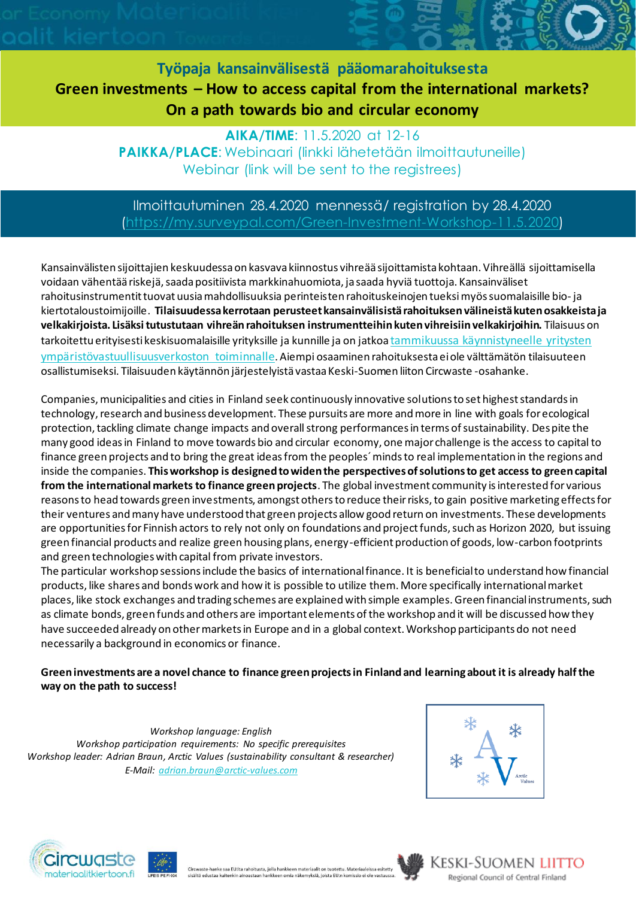**Työpaja kansainvälisestä pääomarahoituksesta Green investments – How to access capital from the international markets? On a path towards bio and circular economy**

> **AIKA/TIME**: 11.5.2020 at 12-16 **PAIKKA/PLACE**: Webinaari (linkki lähetetään ilmoittautuneille) Webinar (link will be sent to the registrees)

## Ilmoittautuminen 28.4.2020 mennessä/ registration by 28.4.2020 [\(https://my.surveypal.com/Green-Investment-Workshop-11.5.2020\)](https://my.surveypal.com/Green-Investment-Workshop-11.5.2020)

Kansainvälisten sijoittajien keskuudessa on kasvava kiinnostus vihreää sijoittamista kohtaan. Vihreällä sijoittamisella voidaan vähentää riskejä, saada positiivista markkinahuomiota, ja saada hyviä tuottoja. Kansainväliset rahoitusinstrumentit tuovat uusia mahdollisuuksia perinteisten rahoituskeinojen tueksimyös suomalaisille bio- ja kiertotaloustoimijoille. **Tilaisuudessa kerrotaan perusteet kansainvälisistä rahoituksen välineistä kuten osakkeista ja velkakirjoista. Lisäksi tutustutaan vihreän rahoituksen instrumentteihin kuten vihreisiin velkakirjoihin.** Tilaisuus on tarkoitettu erityisesti keskisuomalaisille yrityksille ja kunnille ja on jatkoa [tammikuussa käynnistyneelle yritysten](https://www.businessjyvaskyla.fi/tapahtumat/Yritysten-ymp%C3%A4rist%C3%B6vastuullisuusverkoston-kick-off)  [ympäristövastuullisuusverkoston toiminnalle](https://www.businessjyvaskyla.fi/tapahtumat/Yritysten-ymp%C3%A4rist%C3%B6vastuullisuusverkoston-kick-off). Aiempi osaaminen rahoituksesta ei ole välttämätön tilaisuuteen osallistumiseksi. Tilaisuuden käytännön järjestelyistä vastaa Keski-Suomen liiton Circwaste -osahanke.

Companies, municipalities and cities in Finland seek continuously innovative solutions to set highest standards in technology, research and business development. These pursuits are more and more in line with goals for ecological protection, tackling climate change impacts and overall strong performances in terms of sustainability. Despite the many good ideas in Finland to move towards bio and circular economy, one major challenge is the access to capital to finance green projects and to bring the great ideas from the peoples´ minds to real implementation in the regions and inside the companies. **This workshop is designed to widen the perspectives of solutions to get access to green capital from the international markets to finance green projects**. The global investment community is interested for various reasons to head towards green investments, amongst others to reduce their risks, to gain positive marketing effects for their ventures and many have understood that green projects allow good return on investments. These developments are opportunities for Finnish actors to rely not only on foundations and project funds, such as Horizon 2020, but issuing green financial products and realize green housing plans, energy-efficient production of goods, low-carbon footprints and green technologies with capital from private investors.

The particular workshop sessions include the basics of international finance. It is beneficial to understand how financial products, like shares and bonds work and how it is possible to utilize them. More specifically international market places, like stock exchanges and trading schemes are explained with simple examples. Green financial instruments, such as climate bonds, green funds and others are important elements of the workshop and it will be discussed how they have succeeded already on other markets in Europe and in a global context. Workshop participants do not need necessarily a background in economics or finance.

**Green investments are a novel chance to finance green projects in Finland and learning about it is already half the way on the path to success!** 

*Workshop language: English Workshop participation requirements: No specific prerequisites Workshop leader: Adrian Braun, Arctic Values (sustainability consultant & researcher) E-Mail[: adrian.braun@arctic-values.com](mailto:adrian.braun@arctic-values.com)*